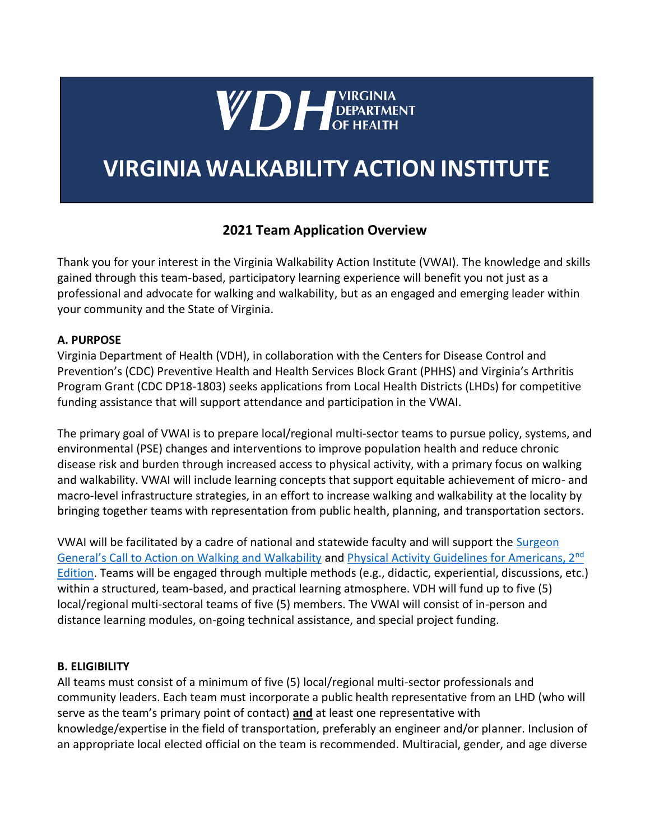

# **VIRGINIA WALKABILITY ACTION INSTITUTE**

# **2021 Team Application Overview**

Thank you for your interest in the Virginia Walkability Action Institute (VWAI). The knowledge and skills gained through this team-based, participatory learning experience will benefit you not just as a professional and advocate for walking and walkability, but as an engaged and emerging leader within your community and the State of Virginia.

#### **A. PURPOSE**

Virginia Department of Health (VDH), in collaboration with the Centers for Disease Control and Prevention's (CDC) Preventive Health and Health Services Block Grant (PHHS) and Virginia's Arthritis Program Grant (CDC DP18-1803) seeks applications from Local Health Districts (LHDs) for competitive funding assistance that will support attendance and participation in the VWAI.

The primary goal of VWAI is to prepare local/regional multi-sector teams to pursue policy, systems, and environmental (PSE) changes and interventions to improve population health and reduce chronic disease risk and burden through increased access to physical activity, with a primary focus on walking and walkability. VWAI will include learning concepts that support equitable achievement of micro- and macro-level infrastructure strategies, in an effort to increase walking and walkability at the locality by bringing together teams with representation from public health, planning, and transportation sectors.

VWAI will be facilitated by a cadre of national and statewide faculty and will support the **Surgeon** [General's Call to Action on Walking and Walkability](https://www.surgeongeneral.gov/library/calls/walking-and-walkable-communities/call-to-action-walking-and-walkable-communites.pdf) and [Physical Activity Guidelines for Americans, 2](https://health.gov/paguidelines/second-edition/pdf/Physical_Activity_Guidelines_2nd_edition.pdf)[nd](https://health.gov/paguidelines/second-edition/pdf/Physical_Activity_Guidelines_2nd_edition.pdf) [Edition.](https://health.gov/paguidelines/second-edition/pdf/Physical_Activity_Guidelines_2nd_edition.pdf) Teams will be engaged through multiple methods (e.g., didactic, experiential, discussions, etc.) within a structured, team-based, and practical learning atmosphere. VDH will fund up to five (5) local/regional multi-sectoral teams of five (5) members. The VWAI will consist of in-person and distance learning modules, on-going technical assistance, and special project funding.

#### **B. ELIGIBILITY**

All teams must consist of a minimum of five (5) local/regional multi-sector professionals and community leaders. Each team must incorporate a public health representative from an LHD (who will serve as the team's primary point of contact) **and** at least one representative with knowledge/expertise in the field of transportation, preferably an engineer and/or planner. Inclusion of an appropriate local elected official on the team is recommended. Multiracial, gender, and age diverse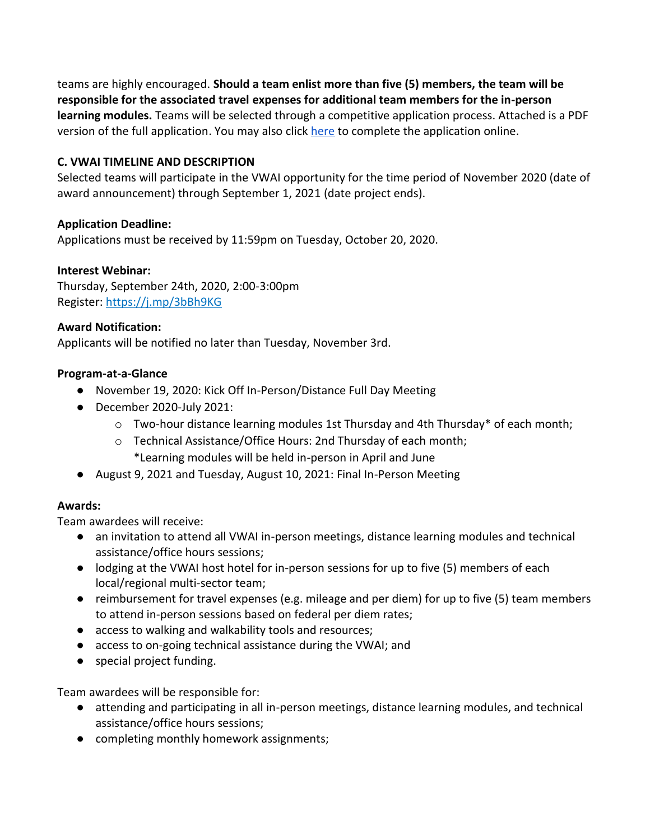teams are highly encouraged. **Should a team enlist more than five (5) members, the team will be responsible for the associated travel expenses for additional team members for the in-person learning modules.** Teams will be selected through a competitive application process. Attached is a PDF version of the full application. You may also click [here](https://j.mp/31OufAY) to complete the application online.

#### **C. VWAI TIMELINE AND DESCRIPTION**

Selected teams will participate in the VWAI opportunity for the time period of November 2020 (date of award announcement) through September 1, 2021 (date project ends).

#### **Application Deadline:**

Applications must be received by 11:59pm on Tuesday, October 20, 2020.

#### **Interest Webinar:**

Thursday, September 24th, 2020, 2:00-3:00pm Register: <https://j.mp/3bBh9KG>

#### **Award Notification:**

Applicants will be notified no later than Tuesday, November 3rd.

#### **Program-at-a-Glance**

- November 19, 2020: Kick Off In-Person/Distance Full Day Meeting
- December 2020-July 2021:
	- $\circ$  Two-hour distance learning modules 1st Thursday and 4th Thursday\* of each month;
	- o Technical Assistance/Office Hours: 2nd Thursday of each month; \*Learning modules will be held in-person in April and June
- August 9, 2021 and Tuesday, August 10, 2021: Final In-Person Meeting

#### **Awards:**

Team awardees will receive:

- an invitation to attend all VWAI in-person meetings, distance learning modules and technical assistance/office hours sessions;
- lodging at the VWAI host hotel for in-person sessions for up to five (5) members of each local/regional multi-sector team;
- reimbursement for travel expenses (e.g. mileage and per diem) for up to five (5) team members to attend in-person sessions based on federal per diem rates;
- access to walking and walkability tools and resources;
- access to on-going technical assistance during the VWAI; and
- special project funding.

Team awardees will be responsible for:

- attending and participating in all in-person meetings, distance learning modules, and technical assistance/office hours sessions;
- completing monthly homework assignments;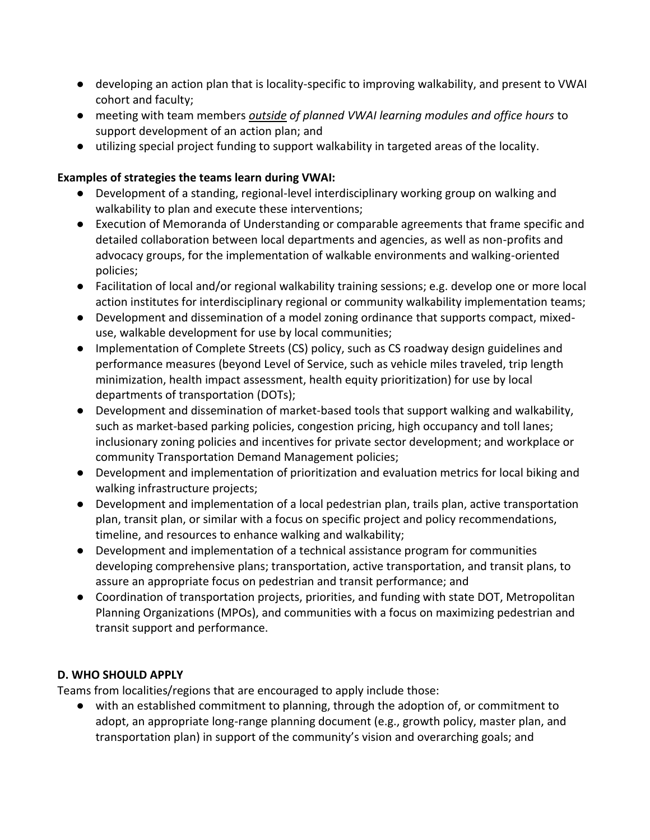- developing an action plan that is locality-specific to improving walkability, and present to VWAI cohort and faculty;
- meeting with team members *outside of planned VWAI learning modules and office hours* to support development of an action plan; and
- utilizing special project funding to support walkability in targeted areas of the locality.

# **Examples of strategies the teams learn during VWAI:**

- Development of a standing, regional-level interdisciplinary working group on walking and walkability to plan and execute these interventions;
- Execution of Memoranda of Understanding or comparable agreements that frame specific and detailed collaboration between local departments and agencies, as well as non-profits and advocacy groups, for the implementation of walkable environments and walking-oriented policies;
- Facilitation of local and/or regional walkability training sessions; e.g. develop one or more local action institutes for interdisciplinary regional or community walkability implementation teams;
- Development and dissemination of a model zoning ordinance that supports compact, mixeduse, walkable development for use by local communities;
- Implementation of Complete Streets (CS) policy, such as CS roadway design guidelines and performance measures (beyond Level of Service, such as vehicle miles traveled, trip length minimization, health impact assessment, health equity prioritization) for use by local departments of transportation (DOTs);
- Development and dissemination of market-based tools that support walking and walkability, such as market-based parking policies, congestion pricing, high occupancy and toll lanes; inclusionary zoning policies and incentives for private sector development; and workplace or community Transportation Demand Management policies;
- Development and implementation of prioritization and evaluation metrics for local biking and walking infrastructure projects;
- Development and implementation of a local pedestrian plan, trails plan, active transportation plan, transit plan, or similar with a focus on specific project and policy recommendations, timeline, and resources to enhance walking and walkability;
- Development and implementation of a technical assistance program for communities developing comprehensive plans; transportation, active transportation, and transit plans, to assure an appropriate focus on pedestrian and transit performance; and
- Coordination of transportation projects, priorities, and funding with state DOT, Metropolitan Planning Organizations (MPOs), and communities with a focus on maximizing pedestrian and transit support and performance.

# **D. WHO SHOULD APPLY**

Teams from localities/regions that are encouraged to apply include those:

● with an established commitment to planning, through the adoption of, or commitment to adopt, an appropriate long-range planning document (e.g., growth policy, master plan, and transportation plan) in support of the community's vision and overarching goals; and